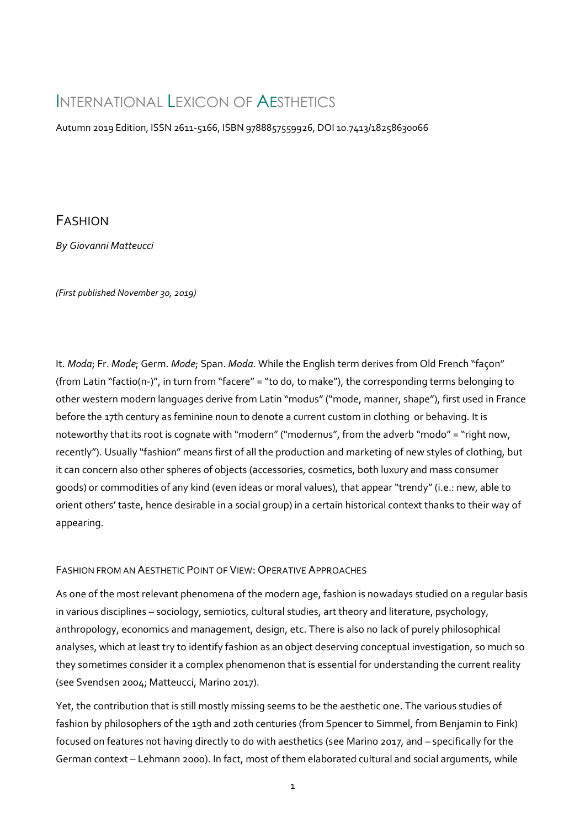# INTERNATIONAL LEXICON OF AESTHETICS

Autumn 2019 Edition, ISSN 2611-5166, ISBN 9788857559926, DOI 10.7413/18258630066

## FASHION

*By Giovanni Matteucci*

*(First published November 30, 2019)*

It. *Moda*; Fr. *Mode*; Germ. *Mode*; Span. *Moda*. While the English term derives from Old French "façon" (from Latin "factio(n-)", in turn from "facere" = "to do, to make"), the corresponding terms belonging to other western modern languages derive from Latin "modus" ("mode, manner, shape"), first used in France before the 17th century as feminine noun to denote a current custom in clothing or behaving. It is noteworthy that its root is cognate with "modern" ("modernus", from the adverb "modo" = "right now, recently"). Usually "fashion" means first of all the production and marketing of new styles of clothing, but it can concern also other spheres of objects (accessories, cosmetics, both luxury and mass consumer goods) or commodities of any kind (even ideas or moral values), that appear "trendy" (i.e.: new, able to orient others' taste, hence desirable in a social group) in a certain historical context thanks to their way of appearing.

### FASHION FROM AN AESTHETIC POINT OF VIEW: OPERATIVE APPROACHES

As one of the most relevant phenomena of the modern age, fashion is nowadays studied on a regular basis in various disciplines – sociology, semiotics, cultural studies, art theory and literature, psychology, anthropology, economics and management, design, etc. There is also no lack of purely philosophical analyses, which at least try to identify fashion as an object deserving conceptual investigation, so much so they sometimes consider it a complex phenomenon that is essential for understanding the current reality (see Svendsen 2004; Matteucci, Marino 2017).

Yet, the contribution that is still mostly missing seems to be the aesthetic one. The various studies of fashion by philosophers of the 19th and 20th centuries (from Spencer to Simmel, from Benjamin to Fink) focused on features not having directly to do with aesthetics (see Marino 2017, and – specifically for the German context – Lehmann 2000). In fact, most of them elaborated cultural and social arguments, while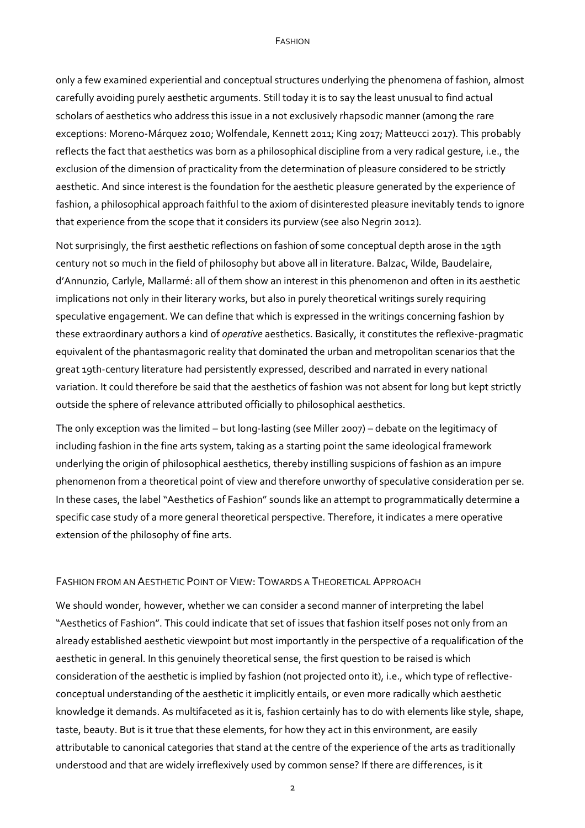#### FASHION

only a few examined experiential and conceptual structures underlying the phenomena of fashion, almost carefully avoiding purely aesthetic arguments. Still today it is to say the least unusual to find actual scholars of aesthetics who address this issue in a not exclusively rhapsodic manner (among the rare exceptions: Moreno-Márquez 2010; Wolfendale, Kennett 2011; King 2017; Matteucci 2017). This probably reflects the fact that aesthetics was born as a philosophical discipline from a very radical gesture, i.e., the exclusion of the dimension of practicality from the determination of pleasure considered to be strictly aesthetic. And since interest is the foundation for the aesthetic pleasure generated by the experience of fashion, a philosophical approach faithful to the axiom of disinterested pleasure inevitably tends to ignore that experience from the scope that it considers its purview (see also Negrin 2012).

Not surprisingly, the first aesthetic reflections on fashion of some conceptual depth arose in the 19th century not so much in the field of philosophy but above all in literature. Balzac, Wilde, Baudelaire, d'Annunzio, Carlyle, Mallarmé: all of them show an interest in this phenomenon and often in its aesthetic implications not only in their literary works, but also in purely theoretical writings surely requiring speculative engagement. We can define that which is expressed in the writings concerning fashion by these extraordinary authors a kind of *operative* aesthetics. Basically, it constitutes the reflexive-pragmatic equivalent of the phantasmagoric reality that dominated the urban and metropolitan scenarios that the great 19th-century literature had persistently expressed, described and narrated in every national variation. It could therefore be said that the aesthetics of fashion was not absent for long but kept strictly outside the sphere of relevance attributed officially to philosophical aesthetics.

The only exception was the limited – but long-lasting (see Miller 2007) – debate on the legitimacy of including fashion in the fine arts system, taking as a starting point the same ideological framework underlying the origin of philosophical aesthetics, thereby instilling suspicions of fashion as an impure phenomenon from a theoretical point of view and therefore unworthy of speculative consideration per se. In these cases, the label "Aesthetics of Fashion" sounds like an attempt to programmatically determine a specific case study of a more general theoretical perspective. Therefore, it indicates a mere operative extension of the philosophy of fine arts.

#### FASHION FROM AN AESTHETIC POINT OF VIEW: TOWARDS A THEORETICAL APPROACH

We should wonder, however, whether we can consider a second manner of interpreting the label "Aesthetics of Fashion". This could indicate that set of issues that fashion itself poses not only from an already established aesthetic viewpoint but most importantly in the perspective of a requalification of the aesthetic in general. In this genuinely theoretical sense, the first question to be raised is which consideration of the aesthetic is implied by fashion (not projected onto it), i.e., which type of reflectiveconceptual understanding of the aesthetic it implicitly entails, or even more radically which aesthetic knowledge it demands. As multifaceted as it is, fashion certainly has to do with elements like style, shape, taste, beauty. But is it true that these elements, for how they act in this environment, are easily attributable to canonical categories that stand at the centre of the experience of the arts as traditionally understood and that are widely irreflexively used by common sense? If there are differences, is it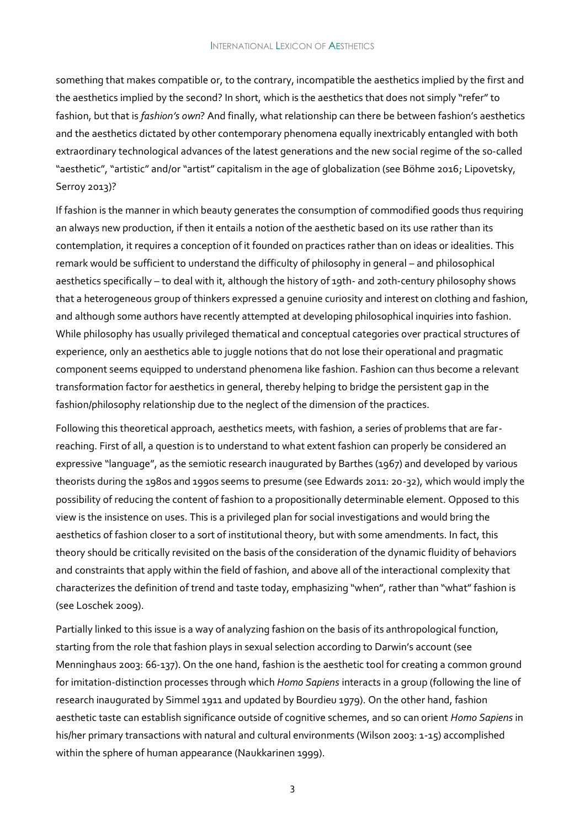something that makes compatible or, to the contrary, incompatible the aesthetics implied by the first and the aesthetics implied by the second? In short, which is the aesthetics that does not simply "refer" to fashion, but that is *fashion's own*? And finally, what relationship can there be between fashion's aesthetics and the aesthetics dictated by other contemporary phenomena equally inextricably entangled with both extraordinary technological advances of the latest generations and the new social regime of the so-called "aesthetic", "artistic" and/or "artist" capitalism in the age of globalization (see Böhme 2016; Lipovetsky, Serroy 2013)?

If fashion is the manner in which beauty generates the consumption of commodified goods thus requiring an always new production, if then it entails a notion of the aesthetic based on its use rather than its contemplation, it requires a conception of it founded on practices rather than on ideas or idealities. This remark would be sufficient to understand the difficulty of philosophy in general – and philosophical aesthetics specifically – to deal with it, although the history of 19th- and 20th-century philosophy shows that a heterogeneous group of thinkers expressed a genuine curiosity and interest on clothing and fashion, and although some authors have recently attempted at developing philosophical inquiries into fashion. While philosophy has usually privileged thematical and conceptual categories over practical structures of experience, only an aesthetics able to juggle notions that do not lose their operational and pragmatic component seems equipped to understand phenomena like fashion. Fashion can thus become a relevant transformation factor for aesthetics in general, thereby helping to bridge the persistent gap in the fashion/philosophy relationship due to the neglect of the dimension of the practices.

Following this theoretical approach, aesthetics meets, with fashion, a series of problems that are farreaching. First of all, a question is to understand to what extent fashion can properly be considered an expressive "language", as the semiotic research inaugurated by Barthes (1967) and developed by various theorists during the 1980s and 1990s seems to presume (see Edwards 2011: 20-32), which would imply the possibility of reducing the content of fashion to a propositionally determinable element. Opposed to this view is the insistence on uses. This is a privileged plan for social investigations and would bring the aesthetics of fashion closer to a sort of institutional theory, but with some amendments. In fact, this theory should be critically revisited on the basis of the consideration of the dynamic fluidity of behaviors and constraints that apply within the field of fashion, and above all of the interactional complexity that characterizes the definition of trend and taste today, emphasizing "when", rather than "what" fashion is (see Loschek 2009).

Partially linked to this issue is a way of analyzing fashion on the basis of its anthropological function, starting from the role that fashion plays in sexual selection according to Darwin's account (see Menninghaus 2003: 66-137). On the one hand, fashion is the aesthetic tool for creating a common ground for imitation-distinction processes through which *Homo Sapiens* interacts in a group (following the line of research inaugurated by Simmel 1911 and updated by Bourdieu 1979). On the other hand, fashion aesthetic taste can establish significance outside of cognitive schemes, and so can orient *Homo Sapiens* in his/her primary transactions with natural and cultural environments (Wilson 2003: 1-15) accomplished within the sphere of human appearance (Naukkarinen 1999).

3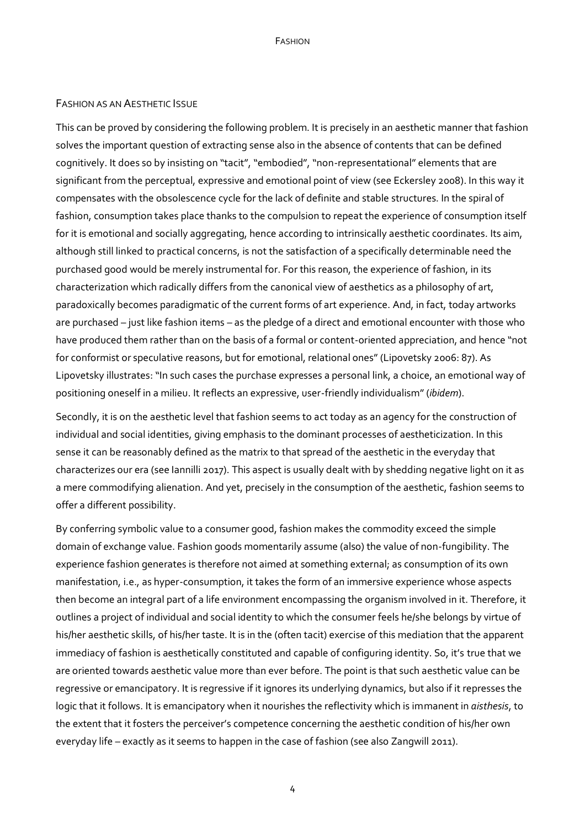#### FASHION AS AN AESTHETIC ISSUE

This can be proved by considering the following problem. It is precisely in an aesthetic manner that fashion solves the important question of extracting sense also in the absence of contents that can be defined cognitively. It does so by insisting on "tacit", "embodied", "non-representational" elements that are significant from the perceptual, expressive and emotional point of view (see Eckersley 2008). In this way it compensates with the obsolescence cycle for the lack of definite and stable structures. In the spiral of fashion, consumption takes place thanks to the compulsion to repeat the experience of consumption itself for it is emotional and socially aggregating, hence according to intrinsically aesthetic coordinates. Its aim, although still linked to practical concerns, is not the satisfaction of a specifically determinable need the purchased good would be merely instrumental for. For this reason, the experience of fashion, in its characterization which radically differs from the canonical view of aesthetics as a philosophy of art, paradoxically becomes paradigmatic of the current forms of art experience. And, in fact, today artworks are purchased – just like fashion items – as the pledge of a direct and emotional encounter with those who have produced them rather than on the basis of a formal or content-oriented appreciation, and hence "not for conformist or speculative reasons, but for emotional, relational ones" (Lipovetsky 2006: 87). As Lipovetsky illustrates: "In such cases the purchase expresses a personal link, a choice, an emotional way of positioning oneself in a milieu. It reflects an expressive, user-friendly individualism" (*ibidem*).

Secondly, it is on the aesthetic level that fashion seems to act today as an agency for the construction of individual and social identities, giving emphasis to the dominant processes of aestheticization. In this sense it can be reasonably defined as the matrix to that spread of the aesthetic in the everyday that characterizes our era (see Iannilli 2017). This aspect is usually dealt with by shedding negative light on it as a mere commodifying alienation. And yet, precisely in the consumption of the aesthetic, fashion seems to offer a different possibility.

By conferring symbolic value to a consumer good, fashion makes the commodity exceed the simple domain of exchange value. Fashion goods momentarily assume (also) the value of non-fungibility. The experience fashion generates is therefore not aimed at something external; as consumption of its own manifestation, i.e., as hyper-consumption, it takes the form of an immersive experience whose aspects then become an integral part of a life environment encompassing the organism involved in it. Therefore, it outlines a project of individual and social identity to which the consumer feels he/she belongs by virtue of his/her aesthetic skills, of his/her taste. It is in the (often tacit) exercise of this mediation that the apparent immediacy of fashion is aesthetically constituted and capable of configuring identity. So, it's true that we are oriented towards aesthetic value more than ever before. The point is that such aesthetic value can be regressive or emancipatory. It is regressive if it ignores its underlying dynamics, but also if it represses the logic that it follows. It is emancipatory when it nourishes the reflectivity which is immanent in *aisthesis*, to the extent that it fosters the perceiver's competence concerning the aesthetic condition of his/her own everyday life – exactly as it seems to happen in the case of fashion (see also Zangwill 2011).

4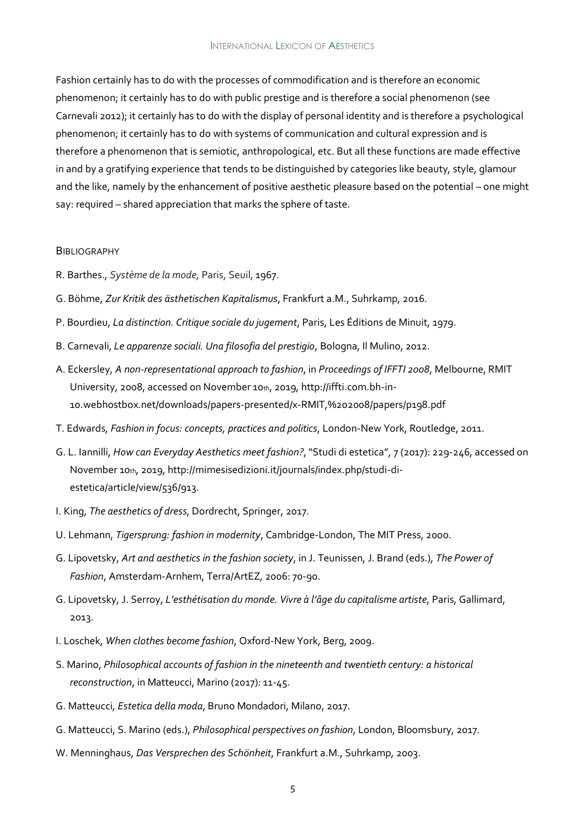Fashion certainly has to do with the processes of commodification and is therefore an economic phenomenon; it certainly has to do with public prestige and is therefore a social phenomenon (see Carnevali 2012); it certainly has to do with the display of personal identity and is therefore a psychological phenomenon; it certainly has to do with systems of communication and cultural expression and is therefore a phenomenon that is semiotic, anthropological, etc. But all these functions are made effective in and by a gratifying experience that tends to be distinguished by categories like beauty, style, glamour and the like, namely by the enhancement of positive aesthetic pleasure based on the potential – one might say: required – shared appreciation that marks the sphere of taste.

#### **BIBLIOGRAPHY**

- R. Barthes., *Système de la mode*, Paris, Seuil, 1967.
- G. Böhme, *Zur Kritik des ästhetischen Kapitalismus*, Frankfurt a.M., Suhrkamp, 2016.
- P. Bourdieu, *La distinction. Critique sociale du jugement*, Paris, Les Éditions de Minuit, 1979.
- B. Carnevali, *Le apparenze sociali. Una filosofia del prestigio*, Bologna, Il Mulino, 2012.
- A. Eckersley, *A non-representational approach to fashion*, in *Proceedings of IFFTI 2008*, Melbourne, RMIT University, 2008, accessed on November 10th, 2019, http://iffti.com.bh-in-10.webhostbox.net/downloads/papers-presented/x-RMIT,%202008/papers/p198.pdf
- T. Edwards, *Fashion in focus: concepts, practices and politics*, London-New York, Routledge, 2011.
- G. L. Iannilli, *How can Everyday Aesthetics meet fashion?*, "Studi di estetica", 7 (2017): 229-246, accessed on November 10th, 2019, http://mimesisedizioni.it/journals/index.php/studi-diestetica/article/view/536/913.
- I. King, *The aesthetics of dress*, Dordrecht, Springer, 2017.
- U. Lehmann, *Tigersprung: fashion in modernity*, Cambridge-London, The MIT Press, 20oo.
- G. Lipovetsky, *Art and aesthetics in the fashion society*, in J. Teunissen, J. Brand (eds.), *The Power of Fashion*, Amsterdam-Arnhem, Terra/ArtEZ, 2006: 70-90.
- G. Lipovetsky, J. Serroy, *L'esthétisation du monde. Vivre à l'âge du capitalisme artiste*, Paris, Gallimard, 2013.
- I. Loschek, *When clothes become fashion*, Oxford-New York, Berg, 20o9.
- S. Marino, *Philosophical accounts of fashion in the nineteenth and twentieth century: a historical reconstruction*, in Matteucci, Marino (2017): 11-45.
- G. Matteucci, *Estetica della moda*, Bruno Mondadori, Milano, 2017.
- G. Matteucci, S. Marino (eds.), *Philosophical perspectives on fashion*, London, Bloomsbury, 2017.
- W. Menninghaus, *Das Versprechen des Schönheit*, Frankfurt a.M., Suhrkamp, 2003.